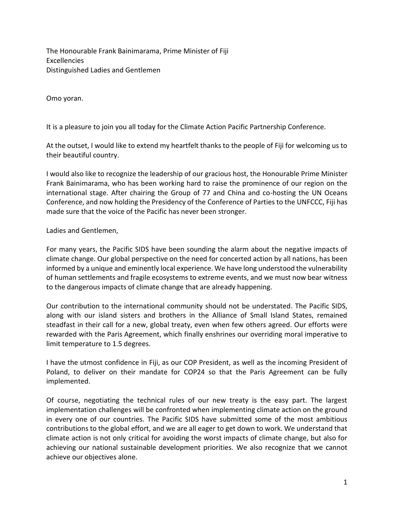The Honourable Frank Bainimarama, Prime Minister of Fiji Excellencies Distinguished Ladies and Gentlemen

Omo yoran.

It is a pleasure to join you all today for the Climate Action Pacific Partnership Conference.

At the outset, I would like to extend my heartfelt thanks to the people of Fiji for welcoming us to their beautiful country.

I would also like to recognize the leadership of our gracious host, the Honourable Prime Minister Frank Bainimarama, who has been working hard to raise the prominence of our region on the international stage. After chairing the Group of 77 and China and co-hosting the UN Oceans Conference, and now holding the Presidency of the Conference of Parties to the UNFCCC, Fiji has made sure that the voice of the Pacific has never been stronger.

Ladies and Gentlemen,

For many years, the Pacific SIDS have been sounding the alarm about the negative impacts of climate change. Our global perspective on the need for concerted action by all nations, has been informed by a unique and eminently local experience. We have long understood the vulnerability of human settlements and fragile ecosystems to extreme events, and we must now bear witness to the dangerous impacts of climate change that are already happening.

Our contribution to the international community should not be understated. The Pacific SIDS, along with our island sisters and brothers in the Alliance of Small Island States, remained steadfast in their call for a new, global treaty, even when few others agreed. Our efforts were rewarded with the Paris Agreement, which finally enshrines our overriding moral imperative to limit temperature to 1.5 degrees.

I have the utmost confidence in Fiji, as our COP President, as well as the incoming President of Poland, to deliver on their mandate for COP24 so that the Paris Agreement can be fully implemented.

Of course, negotiating the technical rules of our new treaty is the easy part. The largest implementation challenges will be confronted when implementing climate action on the ground in every one of our countries. The Pacific SIDS have submitted some of the most ambitious contributions to the global effort, and we are all eager to get down to work. We understand that climate action is not only critical for avoiding the worst impacts of climate change, but also for achieving our national sustainable development priorities. We also recognize that we cannot achieve our objectives alone.